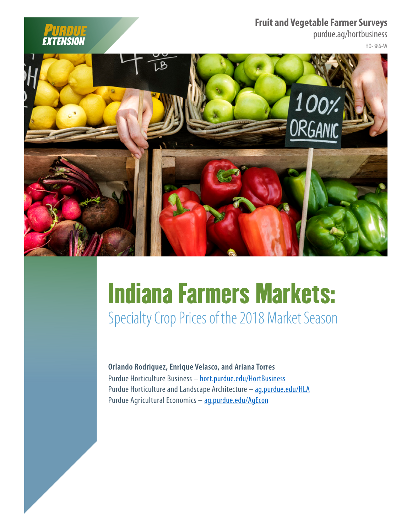**Fruit and Vegetable Farmer Surveys**

purdue.ag/hortbusiness





EXTENSION

# Indiana Farmers Markets:

Specialty Crop Prices of the 2018 Market Season

**Orlando Rodriguez, Enrique Velasco, and Ariana Torres** Purdue Horticulture Business – [hort.purdue.edu/HortBusiness](http://hort.purdue.edu/HortBusiness) Purdue Horticulture and Landscape Architecture – [ag.purdue.edu/HLA](http://ag.purdue.edu/HLA) Purdue Agricultural Economics - [ag.purdue.edu/AgEcon](http://ag.purdue.edu/AgEcon)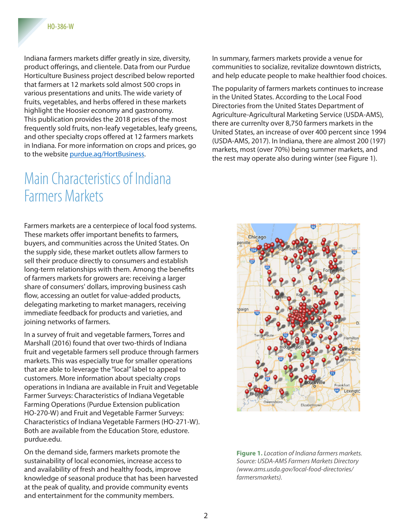Indiana farmers markets differ greatly in size, diversity, product offerings, and clientele. Data from our Purdue Horticulture Business project described below reported that farmers at 12 markets sold almost 500 crops in various presentations and units. The wide variety of fruits, vegetables, and herbs offered in these markets highlight the Hoosier economy and gastronomy. This publication provides the 2018 prices of the most frequently sold fruits, non-leafy vegetables, leafy greens, and other specialty crops offered at 12 farmers markets in Indiana. For more information on crops and prices, go to the website [purdue.ag/HortBusiness](http://purdue.ag/HortBusiness).

#### Main Characteristics of Indiana Farmers Markets

Farmers markets are a centerpiece of local food systems. These markets offer important benefits to farmers, buyers, and communities across the United States. On the supply side, these market outlets allow farmers to sell their produce directly to consumers and establish long-term relationships with them. Among the benefits of farmers markets for growers are: receiving a larger share of consumers' dollars, improving business cash flow, accessing an outlet for value-added products, delegating marketing to market managers, receiving immediate feedback for products and varieties, and joining networks of farmers.

In a survey of fruit and vegetable farmers, Torres and Marshall (2016) found that over two-thirds of Indiana fruit and vegetable farmers sell produce through farmers markets. This was especially true for smaller operations that are able to leverage the "local" label to appeal to customers. More information about specialty crops operations in Indiana are available in Fruit and Vegetable Farmer Surveys: Characteristics of Indiana Vegetable Farming Operations (Purdue Extension publication HO-270-W) and Fruit and Vegetable Farmer Surveys: Characteristics of Indiana Vegetable Farmers (HO-271-W). Both are available from the Education Store, edustore. purdue.edu.

On the demand side, farmers markets promote the sustainability of local economies, increase access to and availability of fresh and healthy foods, improve knowledge of seasonal produce that has been harvested at the peak of quality, and provide community events and entertainment for the community members.

In summary, farmers markets provide a venue for communities to socialize, revitalize downtown districts, and help educate people to make healthier food choices.

The popularity of farmers markets continues to increase in the United States. According to the Local Food Directories from the United States Department of Agriculture-Agricultural Marketing Service (USDA-AMS), there are currenlty over 8,750 farmers markets in the United States, an increase of over 400 percent since 1994 (USDA-AMS, 2017). In Indiana, there are almost 200 (197) markets, most (over 70%) being summer markets, and the rest may operate also during winter (see Figure 1).



**Figure 1.** *Location of Indiana farmers markets. Source: USDA-AMS Farmers Markets Directory (www.ams.usda.gov/local-food-directories/ farmersmarkets).*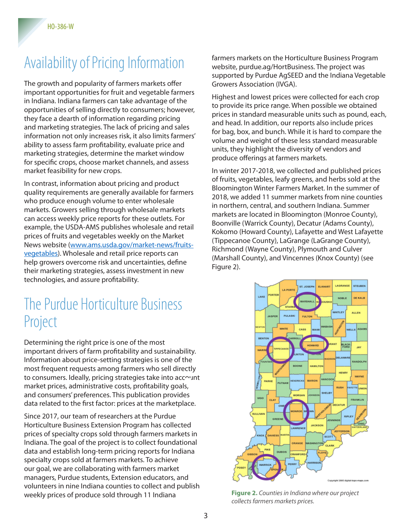# Availability of Pricing Information

The growth and popularity of farmers markets offer important opportunities for fruit and vegetable farmers in Indiana. Indiana farmers can take advantage of the opportunities of selling directly to consumers; however, they face a dearth of information regarding pricing and marketing strategies. The lack of pricing and sales information not only increases risk, it also limits farmers' ability to assess farm profitability, evaluate price and marketing strategies, determine the market window for specific crops, choose market channels, and assess market feasibility for new crops.

In contrast, information about pricing and product quality requirements are generally available for farmers who produce enough volume to enter wholesale markets. Growers selling through wholesale markets can access weekly price reports for these outlets. For example, the USDA-AMS publishes wholesale and retail prices of fruits and vegetables weekly on the Market News website [\(www.ams.usda.gov/market-news/fruits](http://www.ams.usda.gov/market-news/fruits-vegetables)[vegetables\)](http://www.ams.usda.gov/market-news/fruits-vegetables). Wholesale and retail price reports can help growers overcome risk and uncertainties, define their marketing strategies, assess investment in new technologies, and assure profitability.

#### The Purdue Horticulture Business Project

Determining the right price is one of the most important drivers of farm profitability and sustainability. Information about price-setting strategies is one of the most frequent requests among farmers who sell directly to consumers. Ideally, pricing strategies take into account market prices, administrative costs, profitability goals, and consumers' preferences. This publication provides data related to the first factor: prices at the marketplace.

Since 2017, our team of researchers at the Purdue Horticulture Business Extension Program has collected prices of specialty crops sold through farmers markets in Indiana. The goal of the project is to collect foundational data and establish long-term pricing reports for Indiana specialty crops sold at farmers markets. To achieve our goal, we are collaborating with farmers market managers, Purdue students, Extension educators, and volunteers in nine Indiana counties to collect and publish weekly prices of produce sold through 11 Indiana

farmers markets on the Horticulture Business Program website, purdue.ag/HortBusiness. The project was supported by Purdue AgSEED and the Indiana Vegetable Growers Association (IVGA).

Highest and lowest prices were collected for each crop to provide its price range. When possible we obtained prices in standard measurable units such as pound, each, and head. In addition, our reports also include prices for bag, box, and bunch. While it is hard to compare the volume and weight of these less standard measurable units, they highlight the diversity of vendors and produce offerings at farmers markets.

In winter 2017-2018, we collected and published prices of fruits, vegetables, leafy greens, and herbs sold at the Bloomington Winter Farmers Market. In the summer of 2018, we added 11 summer markets from nine counties in northern, central, and southern Indiana. Summer markets are located in Bloomington (Monroe County), Boonville (Warrick County), Decatur (Adams County), Kokomo (Howard County), Lafayette and West Lafayette (Tippecanoe County), LaGrange (LaGrange County), Richmond (Wayne County), Plymouth and Culver (Marshall County), and Vincennes (Knox County) (see Figure 2).



**Figure 2.** *Counties in Indiana where our project collects farmers markets prices.*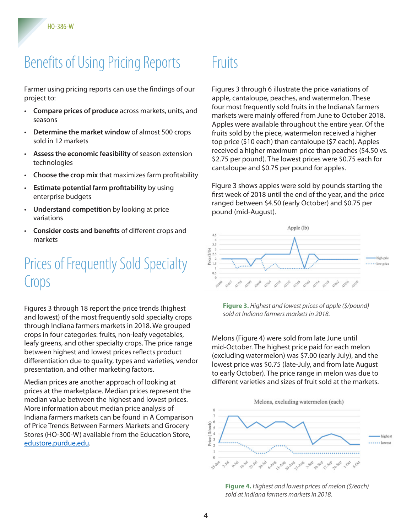# Benefits of Using Pricing Reports

Farmer using pricing reports can use the findings of our project to:

- **Compare prices of produce** across markets, units, and seasons
- **Determine the market window** of almost 500 crops sold in 12 markets
- **Assess the economic feasibility** of season extension technologies
- **Choose the crop mix** that maximizes farm profitability
- **Estimate potential farm profitability** by using enterprise budgets
- **Understand competition** by looking at price variations
- **Consider costs and benefits** of different crops and markets

## Prices of Frequently Sold Specialty Crops

Figures 3 through 18 report the price trends (highest and lowest) of the most frequently sold specialty crops through Indiana farmers markets in 2018. We grouped crops in four categories: fruits, non-leafy vegetables, leafy greens, and other specialty crops. The price range between highest and lowest prices reflects product differentiation due to quality, types and varieties, vendor presentation, and other marketing factors.

Median prices are another approach of looking at prices at the marketplace. Median prices represent the median value between the highest and lowest prices. More information about median price analysis of Indiana farmers markets can be found in A Comparison of Price Trends Between Farmers Markets and Grocery Stores (HO-300-W) available from the Education Store, [edustore.purdue.edu](http://edustore.purdue.edu).

# Fruits

Figures 3 through 6 illustrate the price variations of apple, cantaloupe, peaches, and watermelon. These four most frequently sold fruits in the Indiana's farmers markets were mainly offered from June to October 2018. Apples were available throughout the entire year. Of the fruits sold by the piece, watermelon received a higher top price (\$10 each) than cantaloupe (\$7 each). Apples received a higher maximum price than peaches (\$4.50 vs. \$2.75 per pound). The lowest prices were \$0.75 each for cantaloupe and \$0.75 per pound for apples.

Figure 3 shows apples were sold by pounds starting the first week of 2018 until the end of the year, and the price ranged between \$4.50 (early October) and \$0.75 per pound (mid-August).



**Figure 3.** *Highest and lowest prices of apple (\$/pound) sold at Indiana farmers markets in 2018.*

Melons (Figure 4) were sold from late June until mid-October. The highest price paid for each melon (excluding watermelon) was \$7.00 (early July), and the lowest price was \$0.75 (late-July, and from late August to early October). The price range in melon was due to different varieties and sizes of fruit sold at the markets.



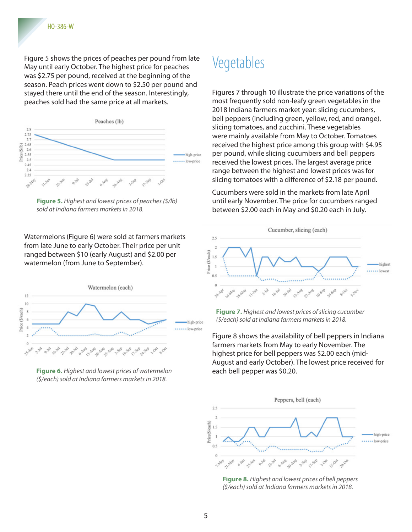Figure 5 shows the prices of peaches per pound from late May until early October. The highest price for peaches was \$2.75 per pound, received at the beginning of the season. Peach prices went down to \$2.50 per pound and stayed there until the end of the season. Interestingly, peaches sold had the same price at all markets.



**Figure 5.** *Highest and lowest prices of peaches (\$/lb) sold at Indiana farmers markets in 2018.*

Watermelons (Figure 6) were sold at farmers markets from late June to early October. Their price per unit ranged between \$10 (early August) and \$2.00 per watermelon (from June to September).



**Figure 6.** *Highest and lowest prices of watermelon (\$/each) sold at Indiana farmers markets in 2018.*

#### Vegetables

Figures 7 through 10 illustrate the price variations of the most frequently sold non-leafy green vegetables in the 2018 Indiana farmers market year: slicing cucumbers, bell peppers (including green, yellow, red, and orange), slicing tomatoes, and zucchini. These vegetables were mainly available from May to October. Tomatoes received the highest price among this group with \$4.95 per pound, while slicing cucumbers and bell peppers received the lowest prices. The largest average price range between the highest and lowest prices was for slicing tomatoes with a difference of \$2.18 per pound.

Cucumbers were sold in the markets from late April until early November. The price for cucumbers ranged between \$2.00 each in May and \$0.20 each in July.



**Figure 7.** *Highest and lowest prices of slicing cucumber (\$/each) sold at Indiana farmers markets in 2018.*

Figure 8 shows the availability of bell peppers in Indiana farmers markets from May to early November. The highest price for bell peppers was \$2.00 each (mid-August and early October). The lowest price received for each bell pepper was \$0.20.



**Figure 8.** *Highest and lowest prices of bell peppers (\$/each) sold at Indiana farmers markets in 2018.*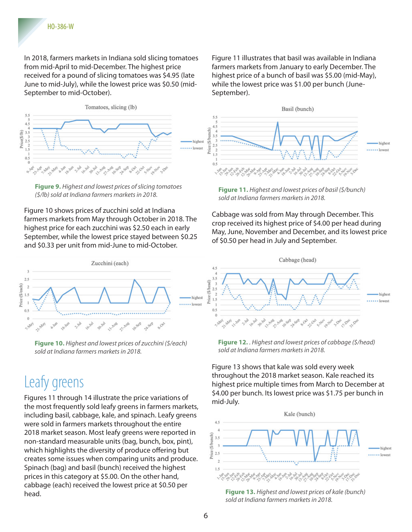In 2018, farmers markets in Indiana sold slicing tomatoes from mid-April to mid-December. The highest price received for a pound of slicing tomatoes was \$4.95 (late June to mid-July), while the lowest price was \$0.50 (mid-September to mid-October).



**Figure 9.** *Highest and lowest prices of slicing tomatoes (\$/lb) sold at Indiana farmers markets in 2018.*

Figure 10 shows prices of zucchini sold at Indiana farmers markets from May through October in 2018. The highest price for each zucchini was \$2.50 each in early September, while the lowest price stayed between \$0.25 and \$0.33 per unit from mid-June to mid-October.



**Figure 10.** *Highest and lowest prices of zucchini (\$/each) sold at Indiana farmers markets in 2018.*

## Leafy greens

Figures 11 through 14 illustrate the price variations of the most frequently sold leafy greens in farmers markets, including basil, cabbage, kale, and spinach. Leafy greens were sold in farmers markets throughout the entire 2018 market season. Most leafy greens were reported in non-standard measurable units (bag, bunch, box, pint), which highlights the diversity of produce offering but creates some issues when comparing units and produce. Spinach (bag) and basil (bunch) received the highest prices in this category at \$5.00. On the other hand, cabbage (each) received the lowest price at \$0.50 per head.

Figure 11 illustrates that basil was available in Indiana farmers markets from January to early December. The highest price of a bunch of basil was \$5.00 (mid-May), while the lowest price was \$1.00 per bunch (June-September).



**Figure 11.** *Highest and lowest prices of basil (\$/bunch) sold at Indiana farmers markets in 2018.*

Cabbage was sold from May through December. This crop received its highest price of \$4.00 per head during May, June, November and December, and its lowest price of \$0.50 per head in July and September.



**Figure 12.** *. Highest and lowest prices of cabbage (\$/head) sold at Indiana farmers markets in 2018.*

Figure 13 shows that kale was sold every week throughout the 2018 market season. Kale reached its highest price multiple times from March to December at \$4.00 per bunch. Its lowest price was \$1.75 per bunch in mid-July.



**Figure 13.** *Highest and lowest prices of kale (bunch) sold at Indiana farmers markets in 2018.*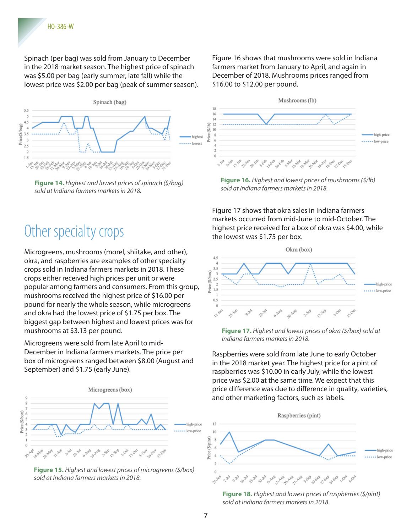Spinach (per bag) was sold from January to December in the 2018 market season. The highest price of spinach was \$5.00 per bag (early summer, late fall) while the lowest price was \$2.00 per bag (peak of summer season).



**Figure 14.** *Highest and lowest prices of spinach (\$/bag) sold at Indiana farmers markets in 2018.*

## Other specialty crops

Microgreens, mushrooms (morel, shiitake, and other), okra, and raspberries are examples of other specialty crops sold in Indiana farmers markets in 2018. These crops either received high prices per unit or were popular among farmers and consumers. From this group, mushrooms received the highest price of \$16.00 per pound for nearly the whole season, while microgreens and okra had the lowest price of \$1.75 per box. The biggest gap between highest and lowest prices was for mushrooms at \$3.13 per pound.

Microgreens were sold from late April to mid-December in Indiana farmers markets. The price per box of microgreens ranged between \$8.00 (August and September) and \$1.75 (early June).



**Figure 15.** *Highest and lowest prices of microgreens (\$/box) sold at Indiana farmers markets in 2018.*

Figure 16 shows that mushrooms were sold in Indiana farmers market from January to April, and again in December of 2018. Mushrooms prices ranged from \$16.00 to \$12.00 per pound.



**Figure 16.** *Highest and lowest prices of mushrooms (\$/lb) sold at Indiana farmers markets in 2018.*

Figure 17 shows that okra sales in Indiana farmers markets occurred from mid-June to mid-October. The highest price received for a box of okra was \$4.00, while the lowest was \$1.75 per box.



**Figure 17.** *Highest and lowest prices of okra (\$/box) sold at Indiana farmers markets in 2018.*

Raspberries were sold from late June to early October in the 2018 market year. The highest price for a pint of raspberries was \$10.00 in early July, while the lowest price was \$2.00 at the same time. We expect that this price difference was due to difference in quality, varieties, and other marketing factors, such as labels.



**Figure 18.** *Highest and lowest prices of raspberries (\$/pint) sold at Indiana farmers markets in 2018.*